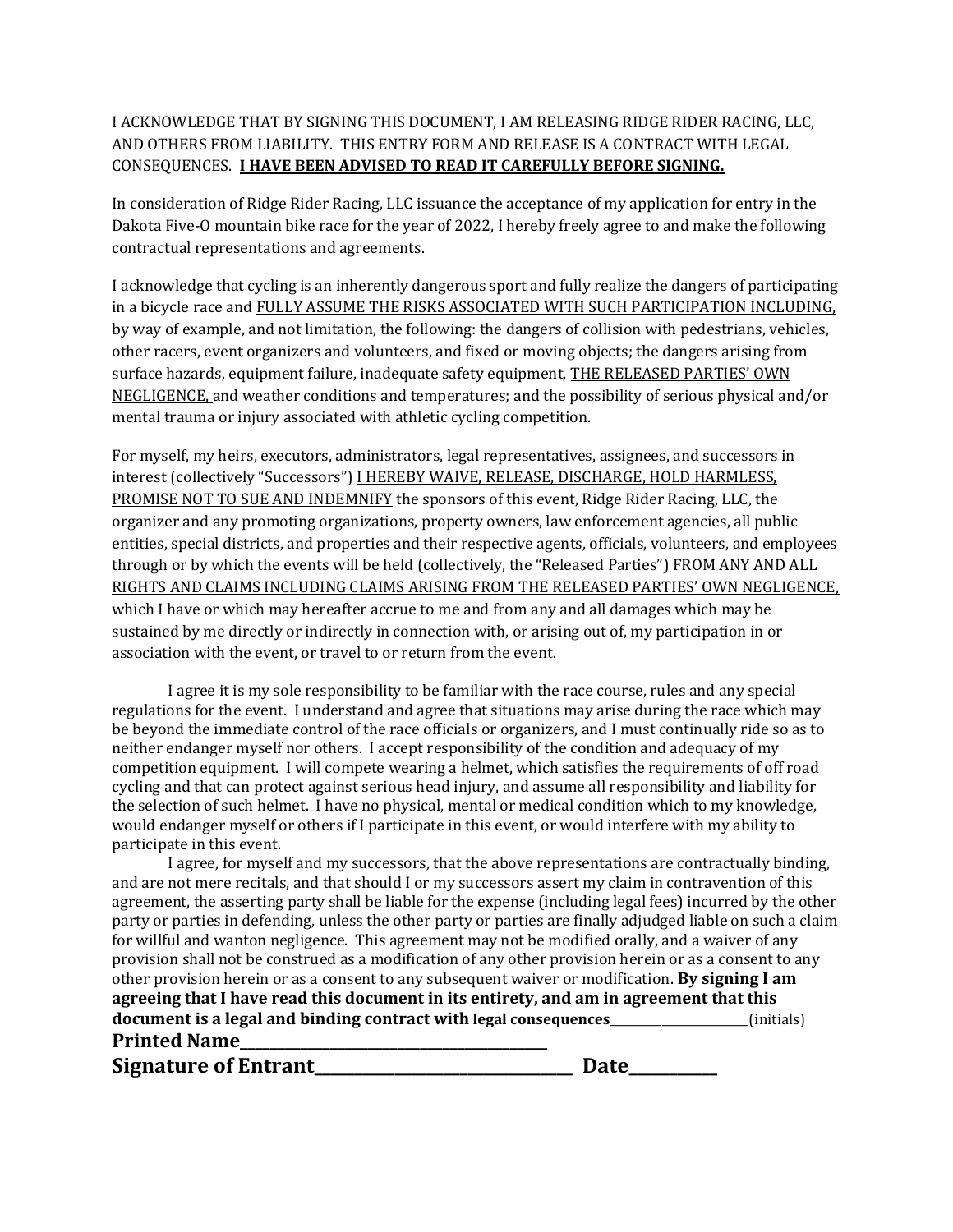## I ACKNOWLEDGE THAT BY SIGNING THIS DOCUMENT, I AM RELEASING RIDGE RIDER RACING, LLC, AND OTHERS FROM LIABILITY. THIS ENTRY FORM AND RELEASE IS A CONTRACT WITH LEGAL CONSEQUENCES. **I HAVE BEEN ADVISED TO READ IT CAREFULLY BEFORE SIGNING.**

In consideration of Ridge Rider Racing, LLC issuance the acceptance of my application for entry in the Dakota Five-O mountain bike race for the year of 2022, I hereby freely agree to and make the following contractual representations and agreements.

I acknowledge that cycling is an inherently dangerous sport and fully realize the dangers of participating in a bicycle race and FULLY ASSUME THE RISKS ASSOCIATED WITH SUCH PARTICIPATION INCLUDING, by way of example, and not limitation, the following: the dangers of collision with pedestrians, vehicles, other racers, event organizers and volunteers, and fixed or moving objects; the dangers arising from surface hazards, equipment failure, inadequate safety equipment, THE RELEASED PARTIES' OWN NEGLIGENCE, and weather conditions and temperatures; and the possibility of serious physical and/or mental trauma or injury associated with athletic cycling competition.

For myself, my heirs, executors, administrators, legal representatives, assignees, and successors in interest (collectively "Successors") I HEREBY WAIVE, RELEASE, DISCHARGE, HOLD HARMLESS, PROMISE NOT TO SUE AND INDEMNIFY the sponsors of this event, Ridge Rider Racing, LLC, the organizer and any promoting organizations, property owners, law enforcement agencies, all public entities, special districts, and properties and their respective agents, officials, volunteers, and employees through or by which the events will be held (collectively, the "Released Parties") FROM ANY AND ALL RIGHTS AND CLAIMS INCLUDING CLAIMS ARISING FROM THE RELEASED PARTIES' OWN NEGLIGENCE, which I have or which may hereafter accrue to me and from any and all damages which may be sustained by me directly or indirectly in connection with, or arising out of, my participation in or association with the event, or travel to or return from the event.

I agree it is my sole responsibility to be familiar with the race course, rules and any special regulations for the event. I understand and agree that situations may arise during the race which may be beyond the immediate control of the race officials or organizers, and I must continually ride so as to neither endanger myself nor others. I accept responsibility of the condition and adequacy of my competition equipment. I will compete wearing a helmet, which satisfies the requirements of off road cycling and that can protect against serious head injury, and assume all responsibility and liability for the selection of such helmet. I have no physical, mental or medical condition which to my knowledge, would endanger myself or others if I participate in this event, or would interfere with my ability to participate in this event.

I agree, for myself and my successors, that the above representations are contractually binding, and are not mere recitals, and that should I or my successors assert my claim in contravention of this agreement, the asserting party shall be liable for the expense (including legal fees) incurred by the other party or parties in defending, unless the other party or parties are finally adjudged liable on such a claim for willful and wanton negligence. This agreement may not be modified orally, and a waiver of any provision shall not be construed as a modification of any other provision herein or as a consent to any other provision herein or as a consent to any subsequent waiver or modification. **By signing I am agreeing that I have read this document in its entirety, and am in agreement that this document is a legal and binding contract with legal consequences**\_\_\_\_\_\_\_\_\_\_\_\_\_\_\_\_\_\_\_\_\_\_\_\_(initials) **Printed Name\_\_\_\_\_\_\_\_\_\_\_\_\_\_\_\_\_\_\_\_\_\_\_\_\_\_\_\_\_\_\_\_\_\_\_\_\_\_\_\_\_**

**Signature of Entrant\_\_\_\_\_\_\_\_\_\_\_\_\_\_\_\_\_\_\_\_\_\_\_\_\_\_\_\_\_\_\_\_ Date\_\_\_\_\_\_\_\_\_\_\_**